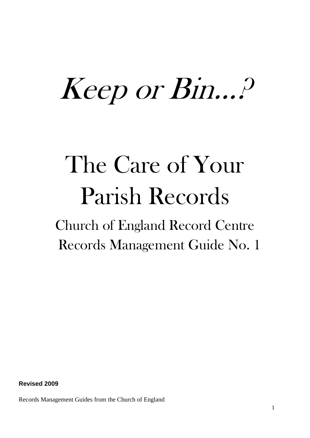# Keep or Bin…?

## The Care of Your Parish Records

Church of England Record Centre Records Management Guide No. 1

**Revised 2009**

Records Management Guides from the Church of England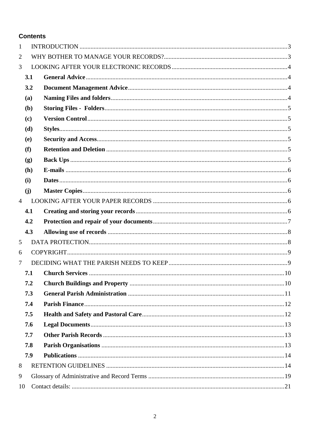#### **Contents**

| 1              |     |  |
|----------------|-----|--|
| $\overline{2}$ |     |  |
| 3              |     |  |
|                | 3.1 |  |
|                | 3.2 |  |
|                | (a) |  |
|                | (b) |  |
|                | (c) |  |
|                | (d) |  |
|                | (e) |  |
|                | (f) |  |
|                | (g) |  |
|                | (h) |  |
|                | (i) |  |
|                | (j) |  |
| $\overline{4}$ |     |  |
|                | 4.1 |  |
|                |     |  |
|                | 4.2 |  |
|                | 4.3 |  |
| 5              |     |  |
| 6              |     |  |
| 7              |     |  |
|                | 7.1 |  |
|                | 7.2 |  |
|                | 7.3 |  |
|                | 7.4 |  |
|                | 7.5 |  |
|                | 7.6 |  |
|                | 7.7 |  |
|                | 7.8 |  |
|                | 7.9 |  |
| 8              |     |  |
| 9              |     |  |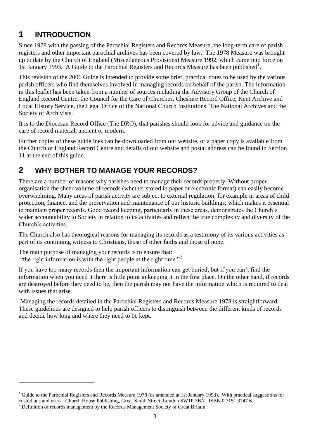## <span id="page-2-0"></span>**1 INTRODUCTION**

Since 1978 with the passing of the Parochial Registers and Records Measure, the long-term care of parish registers and other important parochial archives has been covered by law. The 1978 Measure was brought up to date by the Church of England (Miscellaneous Provisions) Measure 1992, which came into force on 1st January 1993. A Guide to the Parochial Registers and Records Measure has been published<sup>1</sup>.

This revision of the 2006 Guide is intended to provide some brief, practical notes to be used by the various parish officers who find themselves involved in managing records on behalf of the parish. The information in this leaflet has been taken from a number of sources including the Advisory Group of the Church of England Record Centre, the Council for the Care of Churches, Cheshire Record Office, Kent Archive and Local History Service, the Legal Office of the National Church Institutions. The National Archives and the Society of Archivists.

It is to the Diocesan Record Office (The DRO), that parishes should look for advice and guidance on the care of record material, ancient or modern.

Further copies of these guidelines can be downloaded from our website, or a paper copy is available from the Church of England Record Centre and details of our website and postal address can be found in Section 11 at the end of this guide.

## <span id="page-2-1"></span>**2 WHY BOTHER TO MANAGE YOUR RECORDS?**

There are a number of reasons why parishes need to manage their records properly. Without proper organisation the sheer volume of records (whether stored in paper or electronic format) can easily become overwhelming. Many areas of parish activity are subject to external regulation; for example in areas of child protection, finance, and the preservation and maintenance of our historic buildings; which makes it essential to maintain proper records. Good record keeping, particularly in these areas, demonstrates the Church's wider accountability to Society in relation to its activities and reflect the true complexity and diversity of the Church's activities.

The Church also has theological reasons for managing its records as a testimony of its various activities as part of its continuing witness to Christians, those of other faiths and those of none.

The main purpose of managing your records is to ensure that: "the right information is with the right people at the right time."<sup>2</sup>

If you have too many records then the important information can get buried; but if you can't find the information when you need it there is little point in keeping it in the first place. On the other hand, if records are destroyed before they need to be, then the parish may not have the information which is required to deal with issues that arise.

Managing the records detailed in the Parochial Registers and Records Measure 1978 is straightforward. These guidelines are designed to help parish officers to distinguish between the different kinds of records and decide how long and where they need to be kept.

<u>.</u>

 $1$  Guide to the Parochial Registers and Records Measure 1978 (as amended at 1st January 1993). With practical suggestions for custodians and users. Church House Publishing, Great Smith Street, London SW1P 3BN. ISBN 0 7151 3747 6.

 $2$  Definition of records management by the Records Management Society of Great Britain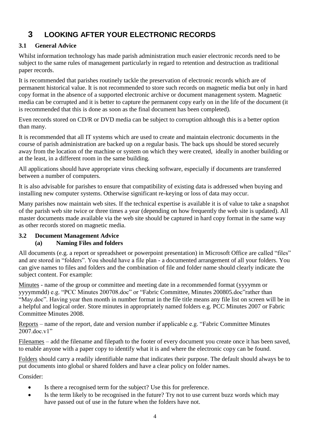## <span id="page-3-0"></span>**3 LOOKING AFTER YOUR ELECTRONIC RECORDS**

#### <span id="page-3-1"></span>**3.1 General Advice**

Whilst information technology has made parish administration much easier electronic records need to be subject to the same rules of management particularly in regard to retention and destruction as traditional paper records.

It is recommended that parishes routinely tackle the preservation of electronic records which are of permanent historical value. It is not recommended to store such records on magnetic media but only in hard copy format in the absence of a supported electronic archive or document management system. Magnetic media can be corrupted and it is better to capture the permanent copy early on in the life of the document (it is recommended that this is done as soon as the final document has been completed).

Even records stored on CD/R or DVD media can be subject to corruption although this is a better option than many.

It is recommended that all IT systems which are used to create and maintain electronic documents in the course of parish administration are backed up on a regular basis. The back ups should be stored securely away from the location of the machine or system on which they were created, ideally in another building or at the least, in a different room in the same building.

All applications should have appropriate virus checking software, especially if documents are transferred between a number of computers.

It is also advisable for parishes to ensure that compatibility of existing data is addressed when buying and installing new computer systems. Otherwise significant re-keying or loss of data may occur.

Many parishes now maintain web sites. If the technical expertise is available it is of value to take a snapshot of the parish web site twice or three times a year (depending on how frequently the web site is updated). All master documents made available via the web site should be captured in hard copy format in the same way as other records stored on magnetic media.

#### <span id="page-3-3"></span><span id="page-3-2"></span>**3.2 Document Management Advice (a) Naming Files and folders**

All documents (e.g. a report or spreadsheet or powerpoint presentation) in Microsoft Office are called "files" and are stored in "folders". You should have a file plan - a documented arrangement of all your folders. You can give names to files and folders and the combination of file and folder name should clearly indicate the subject content. For example:

Minutes - name of the group or committee and meeting date in a recommended format (yyyymm or yyyymmdd) e.g. "PCC Minutes 200708.doc" or "Fabric Committee, Minutes 200805.doc"rather than "May.doc". Having year then month in number format in the file title means any file list on screen will be in a helpful and logical order. Store minutes in appropriately named folders e.g. PCC Minutes 2007 or Fabric Committee Minutes 2008.

Reports – name of the report, date and version number if applicable e.g. "Fabric Committee Minutes 2007 doc v1"

Filenames – add the filename and filepath to the footer of every document you create once it has been saved, to enable anyone with a paper copy to identify what it is and where the electronic copy can be found.

Folders should carry a readily identifiable name that indicates their purpose. The default should always be to put documents into global or shared folders and have a clear policy on folder names.

Consider:

- Is there a recognised term for the subject? Use this for preference.
- Is the term likely to be recognised in the future? Try not to use current buzz words which may have passed out of use in the future when the folders have not.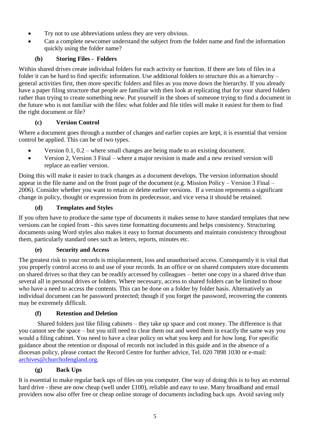- Try not to use abbreviations unless they are very obvious.
- Can a complete newcomer understand the subject from the folder name and find the information quickly using the folder name?

#### **(b) Storing Files - Folders**

<span id="page-4-0"></span>Within shared drives create individual folders for each activity or function. If there are lots of files in a folder it can be hard to find specific information. Use additional folders to structure this as a hierarchy – general activities first, then more specific folders and files as you move down the hierarchy. If you already have a paper filing structure that people are familiar with then look at replicating that for your shared folders rather than trying to create something new. Put yourself in the shoes of someone trying to find a document in the future who is not familiar with the files: what folder and file titles will make it easiest for them to find the right document or file?

#### **(c) Version Control**

<span id="page-4-1"></span>Where a document goes through a number of changes and earlier copies are kept, it is essential that version control be applied. This can be of two types.

- Version 0.1, 0.2 where small changes are being made to an existing document.
- Version 2, Version 3 Final where a major revision is made and a new revised version will replace an earlier version.

Doing this will make it easier to track changes as a document develops. The version information should appear in the file name and on the front page of the document (e.g. Mission Policy – Version 3 Final – 2006). Consider whether you want to retain or delete earlier versions. If a version represents a significant change in policy, thought or expression from its predecessor, and vice versa it should be retained.

#### **(d) Templates and Styles**

<span id="page-4-2"></span>If you often have to produce the same type of documents it makes sense to have standard templates that new versions can be copied from - this saves time formatting documents and helps consistency. Structuring documents using Word styles also makes it easy to format documents and maintain consistency throughout them, particularly standard ones such as letters, reports, minutes etc.

#### **(e) Security and Access**

<span id="page-4-3"></span>The greatest risk to your records is misplacement, loss and unauthorised access. Consequently it is vital that you properly control access to and use of your records. In an office or on shared computers store documents on shared drives so that they can be readily accessed by colleagues – better one copy in a shared drive than several all in personal drives or folders. Where necessary, access to shared folders can be limited to those who have a need to access the contents. This can be done on a folder by folder basis. Alternatively an individual document can be password protected; though if you forget the password, recovering the contents may be extremely difficult.

#### **(f) Retention and Deletion**

<span id="page-4-4"></span>Shared folders just like filing cabinets – they take up space and cost money. The difference is that you cannot see the space – but you still need to clear them out and weed them in exactly the same way you would a filing cabinet. You need to have a clear policy on what you keep and for how long. For specific guidance about the retention or disposal of records not included in this guide and in the absence of a diocesan policy, please contact the Record Centre for further advice, Tel. 020 7898 1030 or e-mail: [archives@churchofengland.org.](file://oak/archives/Common/4%20RM%20Advice%20and%20Strategic%20Projects/Wider%20Church%20-%20RM%20guidance/Guides%20issued/Care%20of%20Diocesan%20Records/archives@churchofengland.org)

#### **(g) Back Ups**

<span id="page-4-5"></span>It is essential to make regular back ups of files on you computer. One way of doing this is to buy an external hard drive - these are now cheap (well under £100), reliable and easy to use. Many broadband and email providers now also offer free or cheap online storage of documents including back ups. Avoid saving only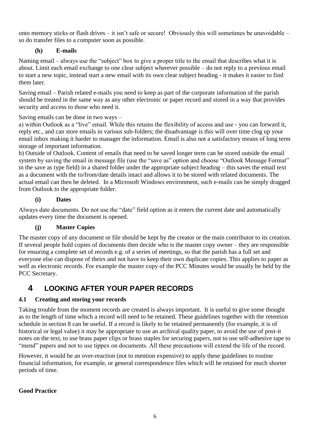onto memory sticks or flash drives – it isn't safe or secure! Obviously this will sometimes be unavoidable – so do transfer files to a computer soon as possible.

#### **(h) E-mails**

<span id="page-5-0"></span>Naming email – always use the "subject" box to give a proper title to the email that describes what it is about. Limit each email exchange to one clear subject wherever possible – do not reply to a previous email to start a new topic, instead start a new email with its own clear subject heading - it makes it easier to find them later.

Saving email – Parish related e-mails you need to keep as part of the corporate information of the parish should be treated in the same way as any other electronic or paper record and stored in a way that provides security and access to those who need it.

Saving emails can be done in two ways –

a) within Outlook as a "live" email. While this retains the flexibility of access and use - you can forward it, reply etc., and can store emails in various sub-folders; the disadvantage is this will over time clog up your email inbox making it harder to manager the information. Email is also not a satisfactory means of long term storage of important information.

b) Outside of Outlook. Content of emails that need to be saved longer term can be stored outside the email system by saving the email in message file (use the "save as" option and choose "Outlook Message Format" in the save as type field) in a shared folder under the appropriate subject heading – this saves the email text as a document with the to/from/date details intact and allows it to be stored with related documents. The actual email can then be deleted. In a Microsoft Windows environment, such e-mails can be simply dragged from Outlook to the appropriate folder.

#### **(i) Dates**

<span id="page-5-1"></span>Always date documents. Do not use the "date" field option as it enters the current date and automatically updates every time the document is opened.

#### **(j) Master Copies**

<span id="page-5-2"></span>The master copy of any document or file should be kept by the creator or the main contributor to its creation. If several people hold copies of documents then decide who is the master copy owner – they are responsible for ensuring a complete set of records e.g. of a series of meetings, so that the parish has a full set and everyone else can dispose of theirs and not have to keep their own duplicate copies. This applies to paper as well as electronic records. For example the master copy of the PCC Minutes would be usually be held by the PCC Secretary.

## <span id="page-5-3"></span>**4 LOOKING AFTER YOUR PAPER RECORDS**

#### <span id="page-5-4"></span>**4.1 Creating and storing your records**

Taking trouble from the moment records are created is always important. It is useful to give some thought as to the length of time which a record will need to be retained. These guidelines together with the retention schedule in section 8 can be useful. If a record is likely to be retained permanently (for example, it is of historical or legal value) it may be appropriate to use an archival quality paper, to avoid the use of post-it notes on the text, to use brass paper clips or brass staples for securing papers, not to use self-adhesive tape to "mend" papers and not to use tippex on documents. All these precautions will extend the life of the record.

However, it would be an over-reaction (not to mention expensive) to apply these guidelines to routine financial information, for example, or general correspondence files which will be retained for much shorter periods of time.

#### **Good Practice**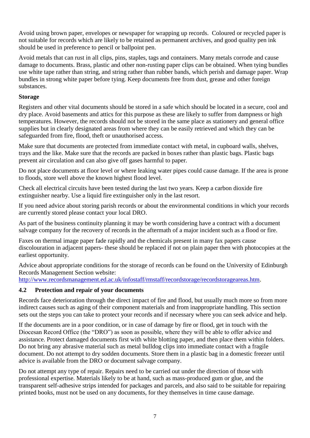Avoid using brown paper, envelopes or newspaper for wrapping up records. Coloured or recycled paper is not suitable for records which are likely to be retained as permanent archives, and good quality pen ink should be used in preference to pencil or ballpoint pen.

Avoid metals that can rust in all clips, pins, staples, tags and containers. Many metals corrode and cause damage to documents. Brass, plastic and other non-rusting paper clips can be obtained. When tying bundles use white tape rather than string, and string rather than rubber bands, which perish and damage paper. Wrap bundles in strong white paper before tying. Keep documents free from dust, grease and other foreign substances.

#### **Storage**

Registers and other vital documents should be stored in a safe which should be located in a secure, cool and dry place. Avoid basements and attics for this purpose as these are likely to suffer from dampness or high temperatures. However, the records should not be stored in the same place as stationery and general office supplies but in clearly designated areas from where they can be easily retrieved and which they can be safeguarded from fire, flood, theft or unauthorised access.

Make sure that documents are protected from immediate contact with metal, in cupboard walls, shelves, trays and the like. Make sure that the records are packed in boxes rather than plastic bags. Plastic bags prevent air circulation and can also give off gases harmful to paper.

Do not place documents at floor level or where leaking water pipes could cause damage. If the area is prone to floods, store well above the known highest flood level.

Check all electrical circuits have been tested during the last two years. Keep a carbon dioxide fire extinguisher nearby. Use a liquid fire extinguisher only in the last resort.

If you need advice about storing parish records or about the environmental conditions in which your records are currently stored please contact your local DRO.

As part of the business continuity planning it may be worth considering have a contract with a document salvage company for the recovery of records in the aftermath of a major incident such as a flood or fire.

Faxes on thermal image paper fade rapidly and the chemicals present in many fax papers cause discolouration in adjacent papers- these should be replaced if not on plain paper then with photocopies at the earliest opportunity.

Advice about appropriate conditions for the storage of records can be found on the University of Edinburgh Records Management Section website:

[http://www.recordsmanagement.ed.ac.uk/infostaff/rmstaff/recordstorage/recordstorageareas.htm.](http://www.recordsmanagement.ed.ac.uk/infostaff/rmstaff/recordstorage/recordstorageareas.htm)

#### <span id="page-6-0"></span>**4.2 Protection and repair of your documents**

Records face deterioration through the direct impact of fire and flood, but usually much more so from more indirect causes such as aging of their component materials and from inappropriate handling. This section sets out the steps you can take to protect your records and if necessary where you can seek advice and help.

If the documents are in a poor condition, or in case of damage by fire or flood, get in touch with the Diocesan Record Office (the "DRO") as soon as possible, where they will be able to offer advice and assistance. Protect damaged documents first with white blotting paper, and then place them within folders. Do not bring any abrasive material such as metal bulldog clips into immediate contact with a fragile document. Do not attempt to dry sodden documents. Store them in a plastic bag in a domestic freezer until advice is available from the DRO or document salvage company.

Do not attempt any type of repair. Repairs need to be carried out under the direction of those with professional expertise. Materials likely to be at hand, such as mass-produced gum or glue, and the transparent self-adhesive strips intended for packages and parcels, and also said to be suitable for repairing printed books, must not be used on any documents, for they themselves in time cause damage.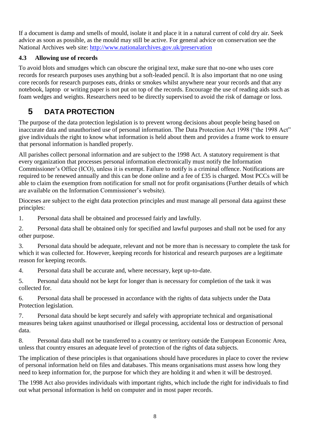If a document is damp and smells of mould, isolate it and place it in a natural current of cold dry air. Seek advice as soon as possible, as the mould may still be active. For general advice on conservation see the National Archives web site:<http://www.nationalarchives.gov.uk/preservation>

#### <span id="page-7-0"></span>**4.3 Allowing use of records**

To avoid blots and smudges which can obscure the original text, make sure that no-one who uses core records for research purposes uses anything but a soft-leaded pencil. It is also important that no one using core records for research purposes eats, drinks or smokes whilst anywhere near your records and that any notebook, laptop or writing paper is not put on top of the records. Encourage the use of reading aids such as foam wedges and weights. Researchers need to be directly supervised to avoid the risk of damage or loss.

## <span id="page-7-1"></span>**5 DATA PROTECTION**

The purpose of the data protection legislation is to prevent wrong decisions about people being based on inaccurate data and unauthorised use of personal information. The Data Protection Act 1998 ("the 1998 Act" give individuals the right to know what information is held about them and provides a frame work to ensure that personal information is handled properly.

All parishes collect personal information and are subject to the 1998 Act. A statutory requirement is that every organization that processes personal information electronically must notify the Information Commissioner's Office (ICO), unless it is exempt. Failure to notify is a criminal offence. Notifications are required to be renewed annually and this can be done online and a fee of £35 is charged. Most PCCs will be able to claim the exemption from notification for small not for profit organisations (Further details of which are available on the Information Commissioner's website).

Dioceses are subject to the eight data protection principles and must manage all personal data against these principles:

1. Personal data shall be obtained and processed fairly and lawfully.

2. Personal data shall be obtained only for specified and lawful purposes and shall not be used for any other purpose.

3. Personal data should be adequate, relevant and not be more than is necessary to complete the task for which it was collected for. However, keeping records for historical and research purposes are a legitimate reason for keeping records.

4. Personal data shall be accurate and, where necessary, kept up-to-date.

5. Personal data should not be kept for longer than is necessary for completion of the task it was collected for.

6. Personal data shall be processed in accordance with the rights of data subjects under the Data Protection legislation.

7. Personal data should be kept securely and safely with appropriate technical and organisational measures being taken against unauthorised or illegal processing, accidental loss or destruction of personal data.

8. Personal data shall not be transferred to a country or territory outside the European Economic Area, unless that country ensures an adequate level of protection of the rights of data subjects.

The implication of these principles is that organisations should have procedures in place to cover the review of personal information held on files and databases. This means organisations must assess how long they need to keep information for, the purpose for which they are holding it and when it will be destroyed.

The 1998 Act also provides individuals with important rights, which include the right for individuals to find out what personal information is held on computer and in most paper records.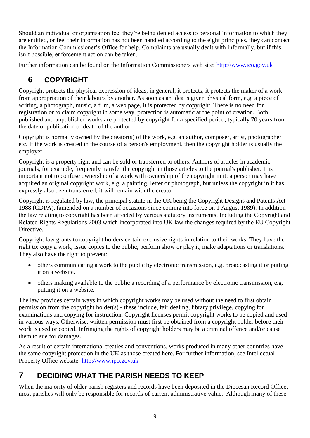Should an individual or organisation feel they're being denied access to personal information to which they are entitled, or feel their information has not been handled according to the eight principles, they can contact the Information Commissioner's Office for help. Complaints are usually dealt with informally, but if this isn't possible, enforcement action can be taken.

<span id="page-8-0"></span>Further information can be found on the Information Commissioners web site: [http://www.ico.gov.uk](http://www.ico.gov.uk/)

## **6 COPYRIGHT**

Copyright protects the physical expression of ideas, in general, it protects, it protects the maker of a work from appropriation of their labours by another. As soon as an idea is given physical form, e.g. a piece of writing, a photograph, music, a film, a web page, it is protected by copyright. There is no need for registration or to claim copyright in some way, protection is automatic at the point of creation. Both published and unpublished works are protected by copyright for a specified period, typically 70 years from the date of publication or death of the author.

Copyright is normally owned by the creator(s) of the work, e.g. an author, composer, artist, photographer etc. If the work is created in the course of a person's employment, then the copyright holder is usually the employer.

Copyright is a property right and can be sold or transferred to others. Authors of articles in academic journals, for example, frequently transfer the copyright in those articles to the journal's publisher. It is important not to confuse ownership of a work with ownership of the copyright in it: a person may have acquired an original copyright work, e.g. a painting, letter or photograph, but unless the copyright in it has expressly also been transferred, it will remain with the creator.

Copyright is regulated by law, the principal statute in the UK being the Copyright Designs and Patents Act 1988 (CDPA). (amended on a number of occasions since coming into force on 1 August 1989). In addition the law relating to copyright has been affected by various statutory instruments. Including the Copyright and Related Rights Regulations 2003 which incorporated into UK law the changes required by the EU Copyright Directive.

Copyright law grants to copyright holders certain exclusive rights in relation to their works. They have the right to: copy a work, issue copies to the public, perform show or play it, make adaptations or translations. They also have the right to prevent:

- others communicating a work to the public by electronic transmission, e.g. broadcasting it or putting it on a website.
- others making available to the public a recording of a performance by electronic transmission, e.g. putting it on a website.

The law provides certain ways in which copyright works may be used without the need to first obtain permission from the copyright holder(s) - these include, fair dealing, library privilege, copying for examinations and copying for instruction. Copyright licenses permit copyright works to be copied and used in various ways. Otherwise, written permission must first be obtained from a copyright holder before their work is used or copied. Infringing the rights of copyright holders may be a criminal offence and/or cause them to sue for damages.

As a result of certain international treaties and conventions, works produced in many other countries have the same copyright protection in the UK as those created here. For further information, see Intellectual Property Office website: [http://www.ipo.gov.uk](http://www.ipo.gov.uk/) 

## <span id="page-8-1"></span>**7 DECIDING WHAT THE PARISH NEEDS TO KEEP**

When the majority of older parish registers and records have been deposited in the Diocesan Record Office, most parishes will only be responsible for records of current administrative value. Although many of these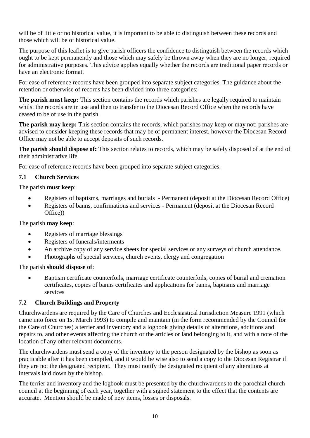will be of little or no historical value, it is important to be able to distinguish between these records and those which will be of historical value.

The purpose of this leaflet is to give parish officers the confidence to distinguish between the records which ought to be kept permanently and those which may safely be thrown away when they are no longer, required for administrative purposes. This advice applies equally whether the records are traditional paper records or have an electronic format.

For ease of reference records have been grouped into separate subject categories. The guidance about the retention or otherwise of records has been divided into three categories:

**The parish must keep:** This section contains the records which parishes are legally required to maintain whilst the records are in use and then to transfer to the Diocesan Record Office when the records have ceased to be of use in the parish.

**The parish may keep:** This section contains the records, which parishes may keep or may not; parishes are advised to consider keeping these records that may be of permanent interest, however the Diocesan Record Office may not be able to accept deposits of such records.

**The parish should dispose of:** This section relates to records, which may be safely disposed of at the end of their administrative life.

For ease of reference records have been grouped into separate subject categories.

#### <span id="page-9-0"></span>**7.1 Church Services**

The parish **must keep**:

- Registers of baptisms, marriages and burials Permanent (deposit at the Diocesan Record Office)
- Registers of banns, confirmations and services Permanent (deposit at the Diocesan Record Office))

#### The parish **may keep**:

- Registers of marriage blessings
- Registers of funerals/interments
- An archive copy of any service sheets for special services or any surveys of church attendance.
- Photographs of special services, church events, clergy and congregation

#### The parish **should dispose of**:

 Baptism certificate counterfoils, marriage certificate counterfoils, copies of burial and cremation certificates, copies of banns certificates and applications for banns, baptisms and marriage services

#### <span id="page-9-1"></span>**7.2 Church Buildings and Property**

Churchwardens are required by the Care of Churches and Ecclesiastical Jurisdiction Measure 1991 (which came into force on 1st March 1993) to compile and maintain (in the form recommended by the Council for the Care of Churches) a terrier and inventory and a logbook giving details of alterations, additions and repairs to, and other events affecting the church or the articles or land belonging to it, and with a note of the location of any other relevant documents.

The churchwardens must send a copy of the inventory to the person designated by the bishop as soon as practicable after it has been compiled, and it would be wise also to send a copy to the Diocesan Registrar if they are not the designated recipient. They must notify the designated recipient of any alterations at intervals laid down by the bishop.

The terrier and inventory and the logbook must be presented by the churchwardens to the parochial church council at the beginning of each year, together with a signed statement to the effect that the contents are accurate. Mention should be made of new items, losses or disposals.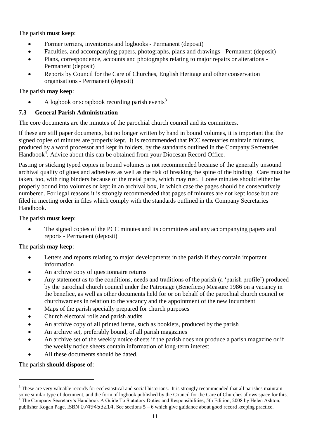#### The parish **must keep**:

- Former terriers, inventories and logbooks Permanent (deposit)
- Faculties, and accompanying papers, photographs, plans and drawings Permanent (deposit)
- Plans, correspondence, accounts and photographs relating to major repairs or alterations Permanent (deposit)
- Reports by Council for the Care of Churches, English Heritage and other conservation organisations - Permanent (deposit)

#### The parish **may keep**:

A logbook or scrapbook recording parish events<sup>3</sup>

#### <span id="page-10-0"></span>**7.3 General Parish Administration**

The core documents are the minutes of the parochial church council and its committees.

If these are still paper documents, but no longer written by hand in bound volumes, it is important that the signed copies of minutes are properly kept. It is recommended that PCC secretaries maintain minutes, produced by a word processor and kept in folders, by the standards outlined in the Company Secretaries Handbook<sup>4</sup>. Advice about this can be obtained from your Diocesan Record Office.

Pasting or sticking typed copies in bound volumes is not recommended because of the generally unsound archival quality of glues and adhesives as well as the risk of breaking the spine of the binding. Care must be taken, too, with ring binders because of the metal parts, which may rust. Loose minutes should either be properly bound into volumes or kept in an archival box, in which case the pages should be consecutively numbered. For legal reasons it is strongly recommended that pages of minutes are not kept loose but are filed in meeting order in files which comply with the standards outlined in the Company Secretaries Handbook.

#### The parish **must keep**:

 The signed copies of the PCC minutes and its committees and any accompanying papers and reports - Permanent (deposit)

#### The parish **may keep**:

- Letters and reports relating to major developments in the parish if they contain important information
- An archive copy of questionnaire returns
- Any statement as to the conditions, needs and traditions of the parish (a 'parish profile') produced by the parochial church council under the Patronage (Benefices) Measure 1986 on a vacancy in the benefice, as well as other documents held for or on behalf of the parochial church council or churchwardens in relation to the vacancy and the appointment of the new incumbent
- Maps of the parish specially prepared for church purposes
- Church electoral rolls and parish audits
- An archive copy of all printed items, such as booklets, produced by the parish
- An archive set, preferably bound, of all parish magazines
- An archive set of the weekly notice sheets if the parish does not produce a parish magazine or if the weekly notice sheets contain information of long-term interest
- All these documents should be dated.

The parish **should dispose of**:

1

<sup>&</sup>lt;sup>3</sup> These are very valuable records for ecclesiastical and social historians. It is strongly recommended that all parishes maintain some similar type of document, and the form of logbook published by the Council for the Care of Churches allows space for this. <sup>4</sup> The Company Secretary's Handbook A Guide To Statutory Duties and Responsibilities, 5th Edition, 2008 by Helen Ashton, publisher Kogan Page, ISBN 0749453214. See sections 5 – 6 which give guidance about good record keeping practice.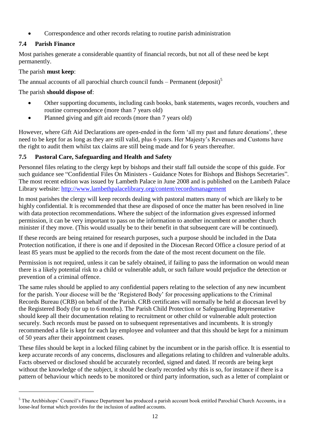Correspondence and other records relating to routine parish administration

#### <span id="page-11-0"></span>**7.4 Parish Finance**

Most parishes generate a considerable quantity of financial records, but not all of these need be kept permanently.

#### The parish **must keep**:

1

The annual accounts of all parochial church council funds – Permanent (deposit)<sup>5</sup>

The parish **should dispose of**:

- Other supporting documents, including cash books, bank statements, wages records, vouchers and routine correspondence (more than 7 years old)
- Planned giving and gift aid records (more than 7 years old)

However, where Gift Aid Declarations are open-ended in the form 'all my past and future donations', these need to be kept for as long as they are still valid, plus 6 years. Her Majesty's Revenues and Customs have the right to audit them whilst tax claims are still being made and for 6 years thereafter.

#### <span id="page-11-1"></span>**7.5 Pastoral Care, Safeguarding and Health and Safety**

Personnel files relating to the clergy kept by bishops and their staff fall outside the scope of this guide. For such guidance see "Confidential Files On Ministers - Guidance Notes for Bishops and Bishops Secretaries". The most recent edition was issued by Lambeth Palace in June 2008 and is published on the Lambeth Palace Library website:<http://www.lambethpalacelibrary.org/content/recordsmanagement>

In most parishes the clergy will keep records dealing with pastoral matters many of which are likely to be highly confidential. It is recommended that these are disposed of once the matter has been resolved in line with data protection recommendations. Where the subject of the information gives expressed informed permission, it can be very important to pass on the information to another incumbent or another church minister if they move. (This would usually be to their benefit in that subsequent care will be continued).

If these records are being retained for research purposes, such a purpose should be included in the Data Protection notification, if there is one and if deposited in the Diocesan Record Office a closure period of at least 85 years must be applied to the records from the date of the most recent document on the file.

Permission is not required, unless it can be safely obtained, if failing to pass the information on would mean there is a likely potential risk to a child or vulnerable adult, or such failure would prejudice the detection or prevention of a criminal offence.

The same rules should be applied to any confidential papers relating to the selection of any new incumbent for the parish. Your diocese will be the 'Registered Body' for processing applications to the Criminal Records Bureau (CRB) on behalf of the Parish. CRB certificates will normally be held at diocesan level by the Registered Body (for up to 6 months). The Parish Child Protection or Safeguarding Representative should keep all their documentation relating to recruitment or other child or vulnerable adult protection securely. Such records must be passed on to subsequent representatives and incumbents. It is strongly recommended a file is kept for each lay employee and volunteer and that this should be kept for a minimum of 50 years after their appointment ceases.

These files should be kept in a locked filing cabinet by the incumbent or in the parish office. It is essential to keep accurate records of any concerns, disclosures and allegations relating to children and vulnerable adults. Facts observed or disclosed should be accurately recorded, signed and dated. If records are being kept without the knowledge of the subject, it should be clearly recorded why this is so, for instance if there is a pattern of behaviour which needs to be monitored or third party information, such as a letter of complaint or

<sup>&</sup>lt;sup>5</sup> The Archbishops' Council's Finance Department has produced a parish account book entitled Parochial Church Accounts, in a loose-leaf format which provides for the inclusion of audited accounts.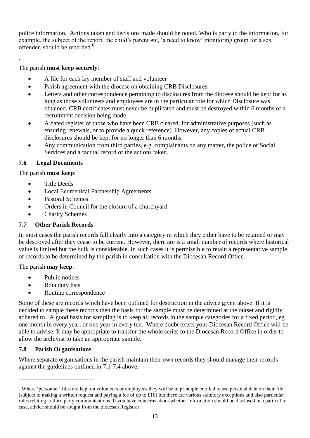police information. Actions taken and decisions made should be noted. Who is party to the information, for example, the subject of the report, the child's parent etc, 'a need to know' monitoring group for a sex offender, should be recorded. $<sup>6</sup>$ </sup>

#### The parish **must keep securely**:

.

- A file for each lay member of staff and volunteer
- Parish agreement with the diocese on obtaining CRB Disclosures
- Letters and other correspondence pertaining to disclosures from the diocese should be kept for as long as those volunteers and employees are in the particular role for which Disclosure was obtained. CRB certificates must never be duplicated and must be destroyed within 6 months of a recruitment decision being made.
- A dated register of those who have been CRB cleared, for administrative purposes (such as ensuring renewals, or to provide a quick reference). However, any copies of actual CRB disclosures should be kept for no longer than 6 months.
- Any communication from third parties, e.g. complainants on any matter, the police or Social Services and a factual record of the actions taken.

#### <span id="page-12-0"></span>**7.6 Legal Documents**

#### The parish **must keep**:

- Title Deeds
- Local Ecumenical Partnership Agreements
- Pastoral Schemes
- Orders in Council for the closure of a churchyard
- Charity Schemes

#### <span id="page-12-1"></span>**7.7 Other Parish Records**

In most cases the parish records fall clearly into a category in which they either have to be retained or may be destroyed after they cease to be current. However, there are is a small number of records where historical value is limited but the bulk is considerable. In such cases it is permissible to retain a representative sample of records to be determined by the parish in consultation with the Diocesan Record Office.

#### The parish **may keep**:

- Public notices
- Rota duty lists
- Routine correspondence

Some of these are records which have been outlined for destruction in the advice given above. If it is decided to sample these records then the basis for the sample must be determined at the outset and rigidly adhered to. A good basis for sampling is to keep all records in the sample categories for a fixed period, eg one month in every year, or one year in every ten. Where doubt exists your Diocesan Record Office will be able to advise. It may be appropriate to transfer the whole series to the Diocesan Record Office in order to allow the archivist to take an appropriate sample.

#### <span id="page-12-2"></span>**7.8 Parish Organisations**

1

Where separate organisations in the parish maintain their own records they should manage their records against the guidelines outlined in 7.1-7.4 above.

<sup>&</sup>lt;sup>6</sup> Where 'personnel' files are kept on volunteers or employees they will be in principle entitled to see personal data on their file (subject to making a written request and paying a fee of up to £10) but there are various statutory exceptions and also particular rules relating to third party communications. If you have concerns about whether information should be disclosed in a particular case, advice should be sought from the diocesan Registrar.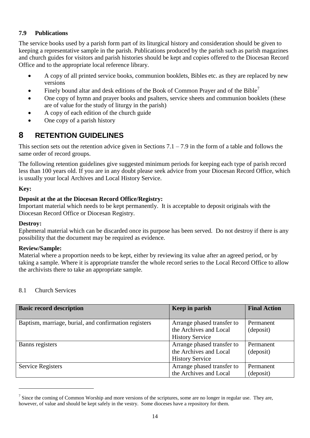#### <span id="page-13-0"></span>**7.9 Publications**

The service books used by a parish form part of its liturgical history and consideration should be given to keeping a representative sample in the parish. Publications produced by the parish such as parish magazines and church guides for visitors and parish histories should be kept and copies offered to the Diocesan Record Office and to the appropriate local reference library.

- A copy of all printed service books, communion booklets, Bibles etc. as they are replaced by new versions
- Finely bound altar and desk editions of the Book of Common Prayer and of the Bible<sup>7</sup>
- One copy of hymn and prayer books and psalters, service sheets and communion booklets (these are of value for the study of liturgy in the parish)
- A copy of each edition of the church guide
- One copy of a parish history

## <span id="page-13-1"></span>**8 RETENTION GUIDELINES**

This section sets out the retention advice given in Sections  $7.1 - 7.9$  in the form of a table and follows the same order of record groups.

The following retention guidelines give suggested minimum periods for keeping each type of parish record less than 100 years old. If you are in any doubt please seek advice from your Diocesan Record Office, which is usually your local Archives and Local History Service.

#### **Key:**

#### **Deposit at the at the Diocesan Record Office/Registry:**

Important material which needs to be kept permanently. It is acceptable to deposit originals with the Diocesan Record Office or Diocesan Registry.

#### **Destroy:**

1

Ephemeral material which can be discarded once its purpose has been served. Do not destroy if there is any possibility that the document may be required as evidence.

#### **Review/Sample:**

Material where a proportion needs to be kept, either by reviewing its value after an agreed period, or by taking a sample. Where it is appropriate transfer the whole record series to the Local Record Office to allow the archivists there to take an appropriate sample.

#### 8.1 Church Services

| <b>Basic record description</b>                       | Keep in parish             | <b>Final Action</b> |
|-------------------------------------------------------|----------------------------|---------------------|
| Baptism, marriage, burial, and confirmation registers | Arrange phased transfer to | Permanent           |
|                                                       | the Archives and Local     | (deposit)           |
|                                                       | <b>History Service</b>     |                     |
| Banns registers                                       | Arrange phased transfer to | Permanent           |
|                                                       | the Archives and Local     | (deposit)           |
|                                                       | <b>History Service</b>     |                     |
| Service Registers                                     | Arrange phased transfer to | Permanent           |
|                                                       | the Archives and Local     | (deposit)           |

 $<sup>7</sup>$  Since the coming of Common Worship and more versions of the scriptures, some are no longer in regular use. They are,</sup> however, of value and should be kept safely in the vestry. Some dioceses have a repository for them.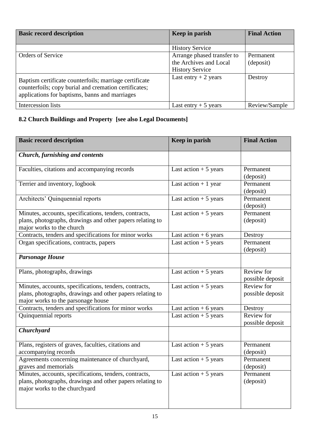| <b>Basic record description</b>                                                                                                                                   | Keep in parish                                                                 | <b>Final Action</b>    |
|-------------------------------------------------------------------------------------------------------------------------------------------------------------------|--------------------------------------------------------------------------------|------------------------|
|                                                                                                                                                                   | <b>History Service</b>                                                         |                        |
| <b>Orders of Service</b>                                                                                                                                          | Arrange phased transfer to<br>the Archives and Local<br><b>History Service</b> | Permanent<br>(deposit) |
| Baptism certificate counterfoils; marriage certificate<br>counterfoils; copy burial and cremation certificates;<br>applications for baptisms, banns and marriages | Last entry $+2$ years                                                          | Destroy                |
| Intercession lists                                                                                                                                                | Last entry $+5$ years                                                          | Review/Sample          |

## **8.2 Church Buildings and Property [see also Legal Documents]**

| <b>Basic record description</b>                                                                                                                           | Keep in parish          | <b>Final Action</b>            |
|-----------------------------------------------------------------------------------------------------------------------------------------------------------|-------------------------|--------------------------------|
| <b>Church, furnishing and contents</b>                                                                                                                    |                         |                                |
| Faculties, citations and accompanying records                                                                                                             | Last action $+5$ years  | Permanent<br>(deposit)         |
| Terrier and inventory, logbook                                                                                                                            | Last action $+1$ year   | Permanent<br>(deposit)         |
| Architects' Quinquennial reports                                                                                                                          | Last action $+5$ years  | Permanent<br>(deposit)         |
| Minutes, accounts, specifications, tenders, contracts,<br>plans, photographs, drawings and other papers relating to<br>major works to the church          | Last action $+5$ years  | Permanent<br>(deposit)         |
| Contracts, tenders and specifications for minor works                                                                                                     | Last action $+ 6$ years | Destroy                        |
| Organ specifications, contracts, papers                                                                                                                   | Last action $+5$ years  | Permanent<br>(deposit)         |
| <b>Parsonage House</b>                                                                                                                                    |                         |                                |
| Plans, photographs, drawings                                                                                                                              | Last action $+5$ years  | Review for<br>possible deposit |
| Minutes, accounts, specifications, tenders, contracts,<br>plans, photographs, drawings and other papers relating to<br>major works to the parsonage house | Last action $+5$ years  | Review for<br>possible deposit |
| Contracts, tenders and specifications for minor works                                                                                                     | Last action $+6$ years  | Destroy                        |
| Quinquennial reports                                                                                                                                      | Last action $+5$ years  | Review for<br>possible deposit |
| <b>Churchyard</b>                                                                                                                                         |                         |                                |
| Plans, registers of graves, faculties, citations and<br>accompanying records                                                                              | Last action $+5$ years  | Permanent<br>(deposit)         |
| Agreements concerning maintenance of churchyard,<br>graves and memorials                                                                                  | Last action $+5$ years  | Permanent<br>(deposit)         |
| Minutes, accounts, specifications, tenders, contracts,<br>plans, photographs, drawings and other papers relating to<br>major works to the churchyard      | Last action $+5$ years  | Permanent<br>(deposit)         |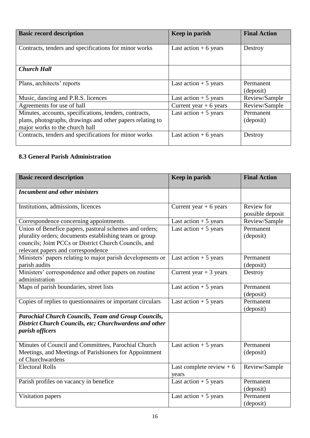| <b>Basic record description</b>                                                                                                                       | Keep in parish           | <b>Final Action</b>    |
|-------------------------------------------------------------------------------------------------------------------------------------------------------|--------------------------|------------------------|
| Contracts, tenders and specifications for minor works                                                                                                 | Last action $+6$ years   | Destroy                |
| <b>Church Hall</b>                                                                                                                                    |                          |                        |
| Plans, architects' reports                                                                                                                            | Last action $+5$ years   | Permanent<br>(deposit) |
| Music, dancing and P.R.S. licences                                                                                                                    | Last action $+5$ years   | Review/Sample          |
| Agreements for use of hall                                                                                                                            | Current year $+ 6$ years | Review/Sample          |
| Minutes, accounts, specifications, tenders, contracts,<br>plans, photographs, drawings and other papers relating to<br>major works to the church hall | Last action $+5$ years   | Permanent<br>(deposit) |
| Contracts, tenders and specifications for minor works                                                                                                 | Last action $+6$ years   | Destroy                |

#### **8.3 General Parish Administration**

| <b>Basic record description</b>                                                                                                                                                                                 | Keep in parish                                    | <b>Final Action</b>            |
|-----------------------------------------------------------------------------------------------------------------------------------------------------------------------------------------------------------------|---------------------------------------------------|--------------------------------|
| <b>Incumbent and other ministers</b>                                                                                                                                                                            |                                                   |                                |
| Institutions, admissions, licences                                                                                                                                                                              | Current year $+ 6$ years                          | Review for<br>possible deposit |
| Correspondence concerning appointments                                                                                                                                                                          | Last action $+5$ years                            | Review/Sample                  |
| Union of Benefice papers, pastoral schemes and orders;<br>plurality orders; documents establishing team or group<br>councils; Joint PCCs or District Church Councils, and<br>relevant papers and correspondence | Last action $+5$ years                            | Permanent<br>(deposit)         |
| Ministers' papers relating to major parish developments or<br>parish audits                                                                                                                                     | Last action $+5$ years                            | Permanent<br>(deposit)         |
| Ministers' correspondence and other papers on routine<br>administration                                                                                                                                         | Current year $+3$ years                           | Destroy                        |
| Maps of parish boundaries, street lists                                                                                                                                                                         | Last action $+5$ years                            | Permanent<br>(deposit)         |
| Copies of replies to questionnaires or important circulars                                                                                                                                                      | Last action $+5$ years                            | Permanent<br>(deposit)         |
| <b>Parochial Church Councils, Team and Group Councils,</b><br>District Church Councils, etc; Churchwardens and other<br>parish officers                                                                         |                                                   |                                |
| Minutes of Council and Committees, Parochial Church<br>Meetings, and Meetings of Parishioners for Appointment<br>of Churchwardens                                                                               | Last action $+5$ years                            | Permanent<br>(deposit)         |
| <b>Electoral Rolls</b>                                                                                                                                                                                          | Last complete review $+6$<br>years                | Review/Sample                  |
| Parish profiles on vacancy in benefice                                                                                                                                                                          | Last $\overline{\text{action}} + 5 \text{ years}$ | Permanent<br>(deposit)         |
| Visitation papers                                                                                                                                                                                               | Last action $+5$ years                            | Permanent<br>(deposit)         |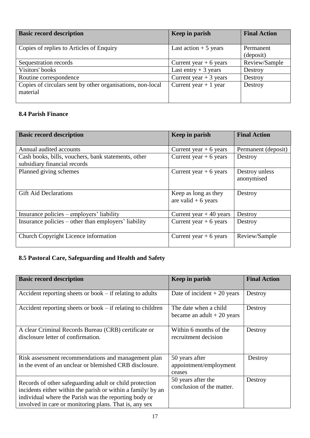| <b>Basic record description</b>                            | Keep in parish           | <b>Final Action</b> |
|------------------------------------------------------------|--------------------------|---------------------|
|                                                            |                          |                     |
| Copies of replies to Articles of Enquiry                   | Last action $+5$ years   | Permanent           |
|                                                            |                          | (deposit)           |
| Sequestration records                                      | Current year $+ 6$ years | Review/Sample       |
| Visitors' books                                            | Last entry $+3$ years    | Destroy             |
| Routine correspondence                                     | Current year $+3$ years  | Destroy             |
| Copies of circulars sent by other organisations, non-local | Current year $+1$ year   | Destroy             |
| material                                                   |                          |                     |
|                                                            |                          |                     |

#### **8.4 Parish Finance**

| Keep in parish           | <b>Final Action</b>                                                          |
|--------------------------|------------------------------------------------------------------------------|
|                          |                                                                              |
| Current year $+ 6$ years | Permanent (deposit)                                                          |
| Current year $+ 6$ years | Destroy                                                                      |
|                          |                                                                              |
| Current year $+ 6$ years | Destroy unless                                                               |
|                          | anonymised                                                                   |
| Keep as long as they     | Destroy                                                                      |
|                          |                                                                              |
|                          |                                                                              |
|                          | Destroy                                                                      |
|                          | Destroy                                                                      |
|                          |                                                                              |
| Current year $+ 6$ years | Review/Sample                                                                |
|                          | are valid $+6$ years<br>Current year $+40$ years<br>Current year $+ 6$ years |

#### **8.5 Pastoral Care, Safeguarding and Health and Safety**

| <b>Basic record description</b>                                                                                                                                                                                                            | Keep in parish                                       | <b>Final Action</b> |
|--------------------------------------------------------------------------------------------------------------------------------------------------------------------------------------------------------------------------------------------|------------------------------------------------------|---------------------|
| Accident reporting sheets or book $-$ if relating to adults                                                                                                                                                                                | Date of incident $+20$ years                         | Destroy             |
| Accident reporting sheets or book $-$ if relating to children                                                                                                                                                                              | The date when a child<br>became an adult $+20$ years | Destroy             |
| A clear Criminal Records Bureau (CRB) certificate or<br>disclosure letter of confirmation.                                                                                                                                                 | Within 6 months of the<br>recruitment decision       | Destroy             |
| Risk assessment recommendations and management plan<br>in the event of an unclear or blemished CRB disclosure.                                                                                                                             | 50 years after<br>appointment/employment<br>ceases   | Destroy             |
| Records of other safeguarding adult or child protection<br>incidents either within the parish or within a family/ by an<br>individual where the Parish was the reporting body or<br>involved in care or monitoring plans. That is, any sex | 50 years after the<br>conclusion of the matter.      | Destroy             |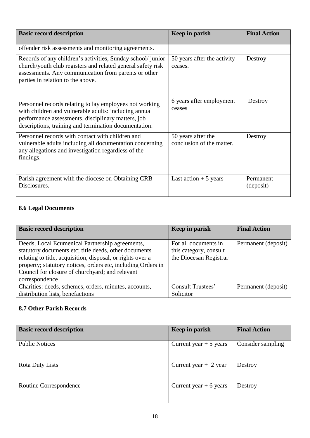| <b>Basic record description</b>                                                                                                                                                                                                 | Keep in parish                                  | <b>Final Action</b>    |
|---------------------------------------------------------------------------------------------------------------------------------------------------------------------------------------------------------------------------------|-------------------------------------------------|------------------------|
| offender risk assessments and monitoring agreements.                                                                                                                                                                            |                                                 |                        |
| Records of any children's activities, Sunday school/ junior<br>church/youth club registers and related general safety risk<br>assessments. Any communication from parents or other<br>parties in relation to the above.         | 50 years after the activity<br>ceases.          | Destroy                |
| Personnel records relating to lay employees not working<br>with children and vulnerable adults: including annual<br>performance assessments, disciplinary matters, job<br>descriptions, training and termination documentation. | 6 years after employment<br>ceases              | Destroy                |
| Personnel records with contact with children and<br>vulnerable adults including all documentation concerning<br>any allegations and investigation regardless of the<br>findings.                                                | 50 years after the<br>conclusion of the matter. | Destroy                |
| Parish agreement with the diocese on Obtaining CRB<br>Disclosures.                                                                                                                                                              | Last action $+5$ years                          | Permanent<br>(deposit) |

#### **8.6 Legal Documents**

| <b>Basic record description</b>                              | Keep in parish         | <b>Final Action</b> |
|--------------------------------------------------------------|------------------------|---------------------|
|                                                              |                        |                     |
| Deeds, Local Ecumenical Partnership agreements,              | For all documents in   | Permanent (deposit) |
| statutory documents etc; title deeds, other documents        | this category, consult |                     |
| relating to title, acquisition, disposal, or rights over a   | the Diocesan Registrar |                     |
| property; statutory notices, orders etc, including Orders in |                        |                     |
| Council for closure of churchyard; and relevant              |                        |                     |
| correspondence                                               |                        |                     |
| Charities: deeds, schemes, orders, minutes, accounts,        | Consult Trustees'      | Permanent (deposit) |
| distribution lists, benefactions                             | Solicitor              |                     |

#### **8.7 Other Parish Records**

| <b>Basic record description</b> | Keep in parish           | <b>Final Action</b> |
|---------------------------------|--------------------------|---------------------|
| <b>Public Notices</b>           | Current year $+5$ years  | Consider sampling   |
| Rota Duty Lists                 | Current year $+2$ year   | Destroy             |
| Routine Correspondence          | Current year $+ 6$ years | Destroy             |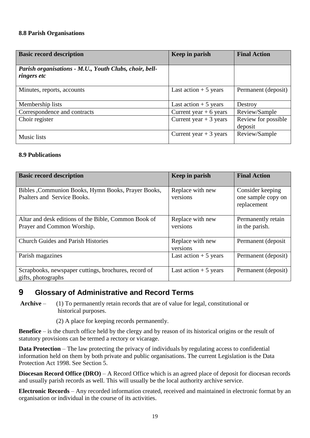#### **8.8 Parish Organisations**

| <b>Basic record description</b>                                              | Keep in parish           | <b>Final Action</b>            |
|------------------------------------------------------------------------------|--------------------------|--------------------------------|
| Parish organisations - M.U., Youth Clubs, choir, bell-<br><i>ringers etc</i> |                          |                                |
| Minutes, reports, accounts                                                   | Last action $+5$ years   | Permanent (deposit)            |
| Membership lists                                                             | Last action $+5$ years   | Destroy                        |
| Correspondence and contracts                                                 | Current year $+ 6$ years | Review/Sample                  |
| Choir register                                                               | Current year $+3$ years  | Review for possible<br>deposit |
| Music lists                                                                  | Current year $+3$ years  | Review/Sample                  |

#### **8.9 Publications**

| <b>Basic record description</b>                                                    | Keep in parish               | <b>Final Action</b>                                   |
|------------------------------------------------------------------------------------|------------------------------|-------------------------------------------------------|
| Bibles, Communion Books, Hymn Books, Prayer Books,<br>Psalters and Service Books.  | Replace with new<br>versions | Consider keeping<br>one sample copy on<br>replacement |
| Altar and desk editions of the Bible, Common Book of<br>Prayer and Common Worship. | Replace with new<br>versions | Permanently retain<br>in the parish.                  |
| <b>Church Guides and Parish Histories</b>                                          | Replace with new<br>versions | Permanent (deposit                                    |
| Parish magazines                                                                   | Last action $+5$ years       | Permanent (deposit)                                   |
| Scrapbooks, newspaper cuttings, brochures, record of<br>gifts, photographs         | Last action $+5$ years       | Permanent (deposit)                                   |

#### <span id="page-18-0"></span>**9 Glossary of Administrative and Record Terms**

**Archive** – (1) To permanently retain records that are of value for legal, constitutional or historical purposes.

(2) A place for keeping records permanently.

**Benefice** – is the church office held by the clergy and by reason of its historical origins or the result of statutory provisions can be termed a rectory or vicarage.

**Data Protection** – The law protecting the privacy of individuals by regulating access to confidential information held on them by both private and public organisations. The current Legislation is the Data Protection Act 1998. See Section 5.

**Diocesan Record Office (DRO)** – A Record Office which is an agreed place of deposit for diocesan records and usually parish records as well. This will usually be the local authority archive service.

**Electronic Records** – Any recorded information created, received and maintained in electronic format by an organisation or individual in the course of its activities.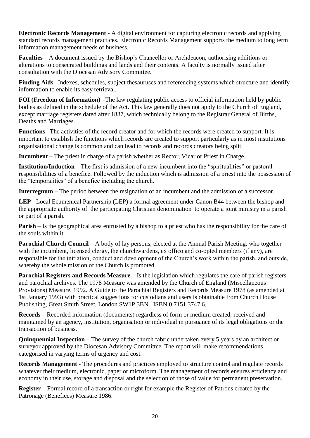**Electronic Records Management** - A digital environment for capturing electronic records and applying standard records management practices. Electronic Records Management supports the medium to long term information management needs of business.

**Faculties** – A document issued by the Bishop's Chancellor or Archdeacon, authorising additions or alterations to consecrated buildings and lands and their contents. A faculty is normally issued after consultation with the Diocesan Advisory Committee.

Finding Aids –Indexes, schedules, subject thesauruses and referencing systems which structure and identify information to enable its easy retrieval.

**FOI (Freedom of Information)** –The law regulating public access to official information held by public bodies as defined in the schedule of the Act. This law generally does not apply to the Church of England, except marriage registers dated after 1837, which technically belong to the Registrar General of Births, Deaths and Marriages.

**Functions** –The activities of the record creator and for which the records were created to support. It is important to establish the functions which records are created to support particularly as in most institutions organisational change is common and can lead to records and records creators being split.

**Incumbent** – The priest in charge of a parish whether as Rector, Vicar or Priest in Charge.

**Institution/Induction** – The first is admission of a new incumbent into the "spiritualities" or pastoral responsibilities of a benefice. Followed by the induction which is admission of a priest into the possession of the "temporalities" of a benefice including the church.

**Interregnum** – The period between the resignation of an incumbent and the admission of a successor.

**LEP** - Local Ecumenical Partnership (LEP) a formal agreement under Canon B44 between the bishop and the appropriate authority of the participating Christian denomination to operate a joint ministry in a parish or part of a parish.

**Parish** – Is the geographical area entrusted by a bishop to a priest who has the responsibility for the care of the souls within it.

**Parochial Church Council** – A body of lay persons, elected at the Annual Parish Meeting, who together with the incumbent, licensed clergy, the churchwardens, ex offico and co-opted members (if any), are responsible for the initiation, conduct and development of the Church's work within the parish, and outside, whereby the whole mission of the Church is promoted.

**Parochial Registers and Records Measure** – Is the legislation which regulates the care of parish registers and parochial archives. The 1978 Measure was amended by the Church of England (Miscellaneous Provisions) Measure, 1992. A Guide to the Parochial Registers and Records Measure 1978 (as amended at 1st January 1993) with practical suggestions for custodians and users is obtainable from Church House Publishing, Great Smith Street, London SW1P 3BN. ISBN 0 7151 3747 6.

**Records** – Recorded information (documents) regardless of form or medium created, received and maintained by an agency, institution, organisation or individual in pursuance of its legal obligations or the transaction of business.

**Quinquennial Inspection** – The survey of the church fabric undertaken every 5 years by an architect or surveyor approved by the Diocesan Advisory Committee. The report will make recommendations categorised in varying terms of urgency and cost.

**Records Management** - The procedures and practices employed to structure control and regulate records whatever their medium, electronic, paper or microform. The management of records ensures efficiency and economy in their use, storage and disposal and the selection of those of value for permanent preservation.

**Register** – Formal record of a transaction or right for example the Register of Patrons created by the Patronage (Benefices) Measure 1986.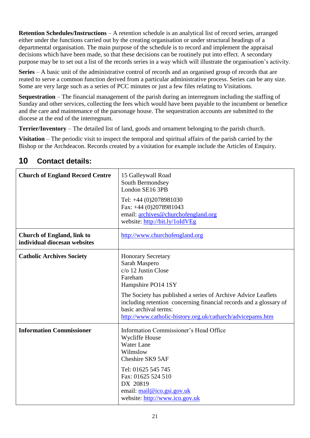**Retention Schedules/Instructions** – A retention schedule is an analytical list of record series, arranged either under the functions carried out by the creating organisation or under structural headings of a departmental organisation. The main purpose of the schedule is to record and implement the appraisal decisions which have been made, so that these decisions can be routinely put into effect. A secondary purpose may be to set out a list of the records series in a way which will illustrate the organisation's activity.

**Series** – A basic unit of the administrative control of records and an organised group of records that are reated to serve a common function derived from a particular administrative process. Series can be any size. Some are very large such as a series of PCC minutes or just a few files relating to Visitations.

**Sequestration** – The financial management of the parish during an interregnum including the staffing of Sunday and other services, collecting the fees which would have been payable to the incumbent or benefice and the care and maintenance of the parsonage house. The sequestration accounts are submitted to the diocese at the end of the interregnum.

**Terrier/Inventory** – The detailed list of land, goods and ornament belonging to the parish church.

**Visitation** – The periodic visit to inspect the temporal and spiritual affairs of the parish carried by the Bishop or the Archdeacon. Records created by a visitation for example include the Articles of Enquiry.

| <b>Church of England Record Centre</b>                            | 15 Galleywall Road<br>South Bermondsey<br>London SE16 3PB<br>Tel: +44 (0)2078981030<br>Fax: $+44$ (0)2078981043<br>email: archives@churchofengland.org<br>website: http://bit.ly/1oIdVEg                                                                                                                                         |
|-------------------------------------------------------------------|----------------------------------------------------------------------------------------------------------------------------------------------------------------------------------------------------------------------------------------------------------------------------------------------------------------------------------|
| <b>Church of England, link to</b><br>individual diocesan websites | http://www.churchofengland.org                                                                                                                                                                                                                                                                                                   |
| <b>Catholic Archives Society</b>                                  | <b>Honorary Secretary</b><br>Sarah Maspero<br>c/o 12 Justin Close<br>Fareham<br>Hampshire PO14 1SY<br>The Society has published a series of Archive Advice Leaflets<br>including retention concerning financial records and a glossary of<br>basic archival terms:<br>http://www.catholic-history.org.uk/catharch/advicepams.htm |
| <b>Information Commissioner</b>                                   | Information Commissioner's Head Office<br>Wycliffe House<br><b>Water Lane</b><br>Wilmslow<br>Cheshire SK9 5AF<br>Tel: 01625 545 745<br>Fax: 01625 524 510<br>DX 20819<br>email: mail@ico.gsi.gov.uk<br>website: http://www.ico.gov.uk                                                                                            |

## <span id="page-20-0"></span>**10 Contact details:**